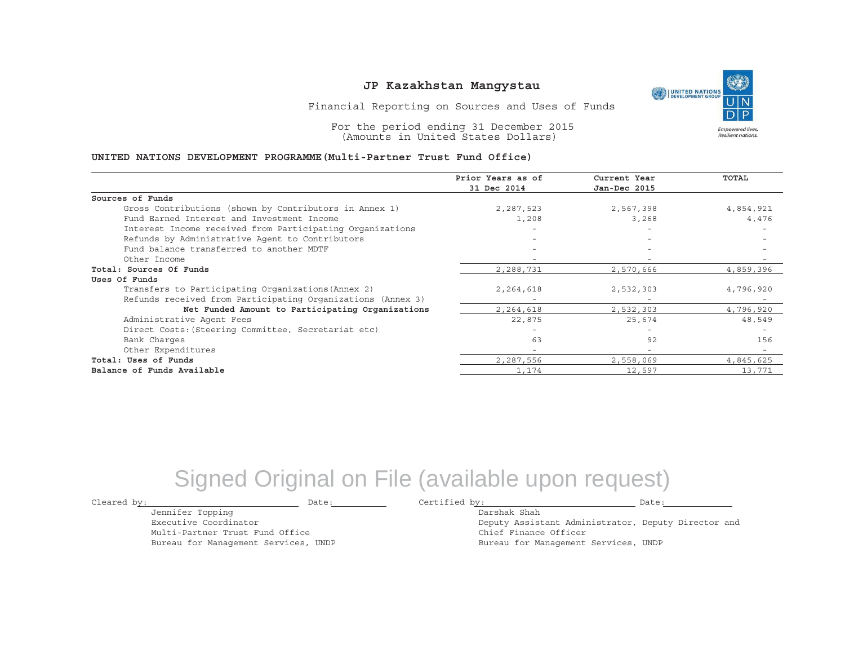UNITED NATIONS **Empowered lives** Resilient nations.

Financial Reporting on Sources and Uses of Funds

For the period ending 31 December 2015 (Amounts in United States Dollars)

#### **UNITED NATIONS DEVELOPMENT PROGRAMME(Multi-Partner Trust Fund Office)**

|                                                             | Prior Years as of | Current Year             | <b>TOTAL</b> |
|-------------------------------------------------------------|-------------------|--------------------------|--------------|
|                                                             | 31 Dec 2014       | Jan-Dec 2015             |              |
| Sources of Funds                                            |                   |                          |              |
| Gross Contributions (shown by Contributors in Annex 1)      | 2,287,523         | 2,567,398                | 4,854,921    |
| Fund Earned Interest and Investment Income                  | 1,208             | 3,268                    | 4,476        |
| Interest Income received from Participating Organizations   |                   |                          |              |
| Refunds by Administrative Agent to Contributors             |                   | $\overline{\phantom{a}}$ |              |
| Fund balance transferred to another MDTF                    |                   | $\overline{\phantom{a}}$ |              |
| Other Income                                                |                   |                          |              |
| Total: Sources Of Funds                                     | 2,288,731         | 2,570,666                | 4,859,396    |
| Uses Of Funds                                               |                   |                          |              |
| Transfers to Participating Organizations (Annex 2)          | 2,264,618         | 2,532,303                | 4,796,920    |
| Refunds received from Participating Organizations (Annex 3) |                   |                          |              |
| Net Funded Amount to Participating Organizations            | 2,264,618         | 2,532,303                | 4,796,920    |
| Administrative Agent Fees                                   | 22,875            | 25,674                   | 48,549       |
| Direct Costs: (Steering Committee, Secretariat etc)         |                   |                          |              |
| Bank Charges                                                | 63                | 92                       | 156          |
| Other Expenditures                                          |                   | $\equiv$                 |              |
| Total: Uses of Funds                                        | 2,287,556         | 2,558,069                | 4,845,625    |
| Balance of Funds Available                                  | 1,174             | 12,597                   | 13,771       |

## Signed Original on File (available upon request)

Cleared by: Date: Certified by: Date:

Jennifer Topping Executive Coordinator

Multi-Partner Trust Fund Office Bureau for Management Services, UNDP

Darshak ShahDeputy Assistant Administrator, Deputy Director and Chief Finance Officer Bureau for Management Services, UNDP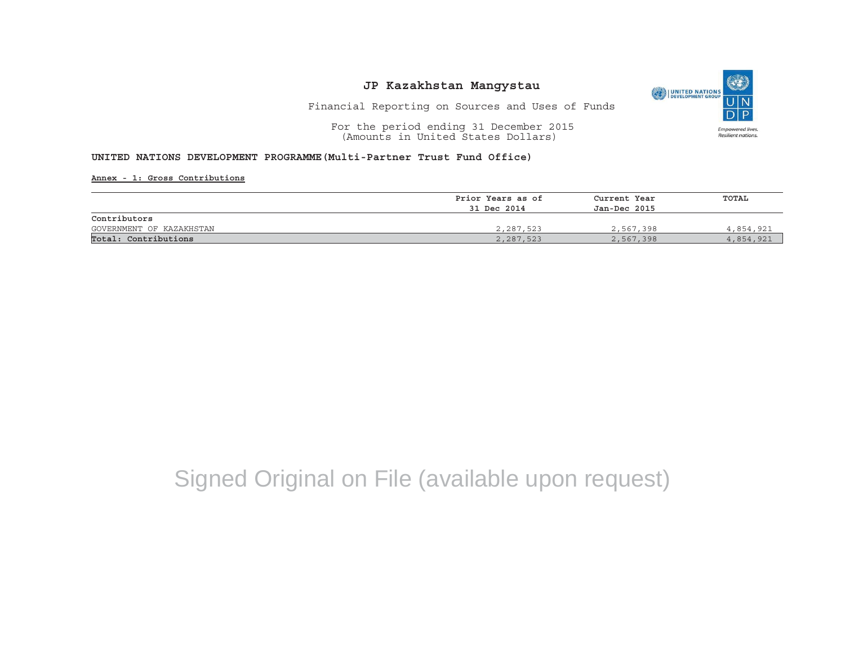

Financial Reporting on Sources and Uses of Funds

For the period ending 31 December 2015 (Amounts in United States Dollars)

#### **UNITED NATIONS DEVELOPMENT PROGRAMME(Multi-Partner Trust Fund Office)**

**Annex - 1: Gross Contributions**

|                          | Prior Years as of | Current Year<br>Jan-Dec 2015 | TOTAL     |  |
|--------------------------|-------------------|------------------------------|-----------|--|
|                          | 31 Dec 2014       |                              |           |  |
| Contributors             |                   |                              |           |  |
| GOVERNMENT OF KAZAKHSTAN | 2,287,523         | 2,567,398                    | 4,854,921 |  |
| Total: Contributions     | 2,287,523         | 2,567,398                    | 4,854,921 |  |

# Signed Original on File (available upon request)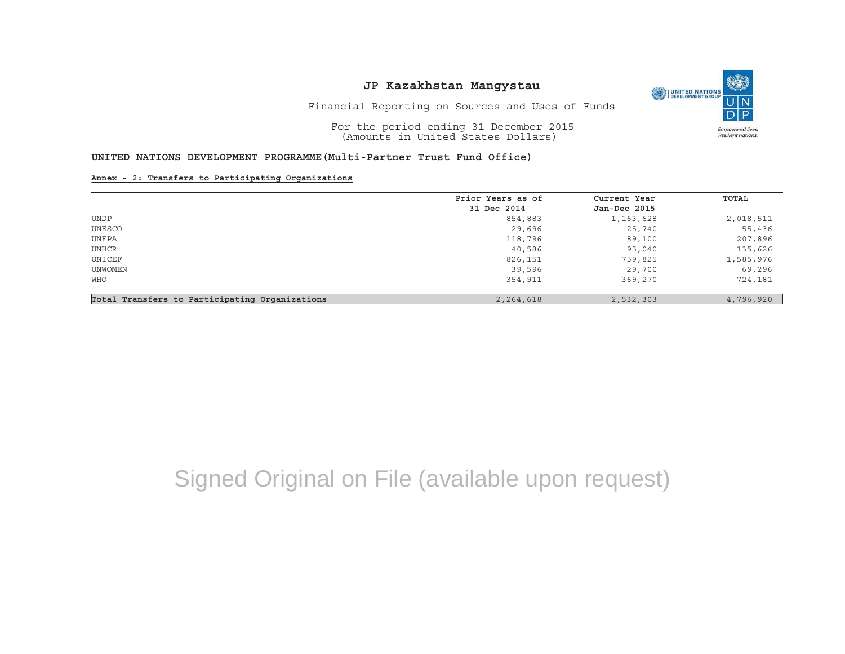O UNITED NATIONS **Empowered lives** Resilient nations.

Financial Reporting on Sources and Uses of Funds

For the period ending 31 December 2015 (Amounts in United States Dollars)

### **UNITED NATIONS DEVELOPMENT PROGRAMME(Multi-Partner Trust Fund Office)**

**Annex - 2: Transfers to Participating Organizations**

|                                                | Prior Years as of | Current Year | TOTAL     |
|------------------------------------------------|-------------------|--------------|-----------|
|                                                | 31 Dec 2014       | Jan-Dec 2015 |           |
| <b>UNDP</b>                                    | 854,883           | 1,163,628    | 2,018,511 |
| UNESCO                                         | 29,696            | 25,740       | 55,436    |
| UNFPA                                          | 118,796           | 89,100       | 207,896   |
| UNHCR                                          | 40,586            | 95,040       | 135,626   |
| UNICEF                                         | 826,151           | 759,825      | 1,585,976 |
| UNWOMEN                                        | 39,596            | 29,700       | 69,296    |
| WHO                                            | 354,911           | 369,270      | 724,181   |
| Total Transfers to Participating Organizations | 2,264,618         | 2,532,303    | 4,796,920 |

# Signed Original on File (available upon request)